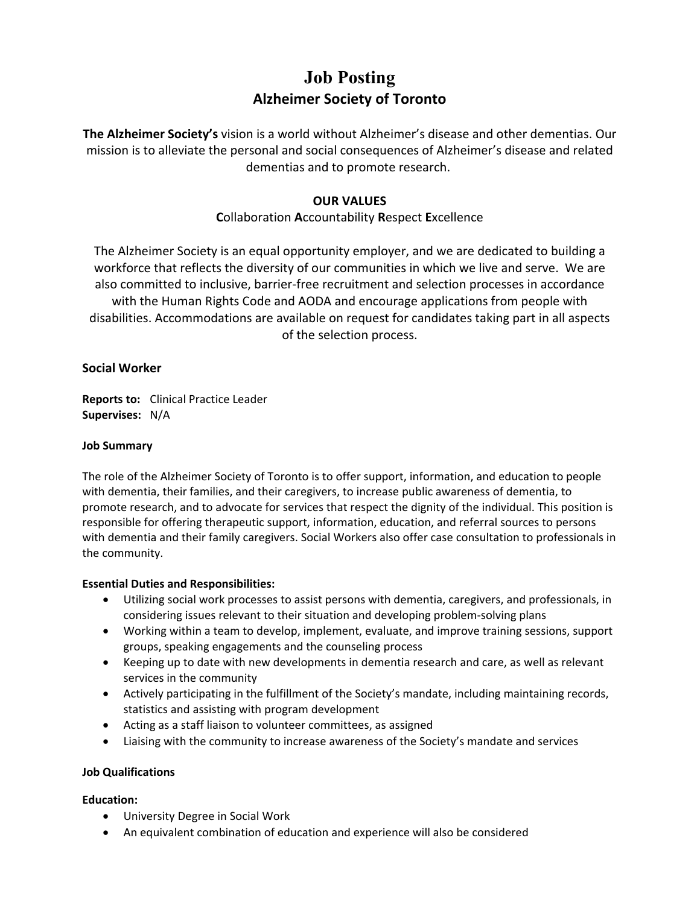# **Job Posting Alzheimer Society of Toronto**

**The Alzheimer Society's** vision is a world without Alzheimer's disease and other dementias. Our mission is to alleviate the personal and social consequences of Alzheimer's disease and related dementias and to promote research.

# **OUR VALUES**

# **C**ollaboration **A**ccountability **R**espect **E**xcellence

The Alzheimer Society is an equal opportunity employer, and we are dedicated to building a workforce that reflects the diversity of our communities in which we live and serve. We are also committed to inclusive, barrier-free recruitment and selection processes in accordance with the Human Rights Code and AODA and encourage applications from people with disabilities. Accommodations are available on request for candidates taking part in all aspects of the selection process.

## **Social Worker**

**Reports to:** Clinical Practice Leader **Supervises:** N/A

#### **Job Summary**

The role of the Alzheimer Society of Toronto is to offer support, information, and education to people with dementia, their families, and their caregivers, to increase public awareness of dementia, to promote research, and to advocate for services that respect the dignity of the individual. This position is responsible for offering therapeutic support, information, education, and referral sources to persons with dementia and their family caregivers. Social Workers also offer case consultation to professionals in the community.

#### **Essential Duties and Responsibilities:**

- Utilizing social work processes to assist persons with dementia, caregivers, and professionals, in considering issues relevant to their situation and developing problem-solving plans
- Working within a team to develop, implement, evaluate, and improve training sessions, support groups, speaking engagements and the counseling process
- Keeping up to date with new developments in dementia research and care, as well as relevant services in the community
- Actively participating in the fulfillment of the Society's mandate, including maintaining records, statistics and assisting with program development
- Acting as a staff liaison to volunteer committees, as assigned
- Liaising with the community to increase awareness of the Society's mandate and services

#### **Job Qualifications**

#### **Education:**

- University Degree in Social Work
- An equivalent combination of education and experience will also be considered